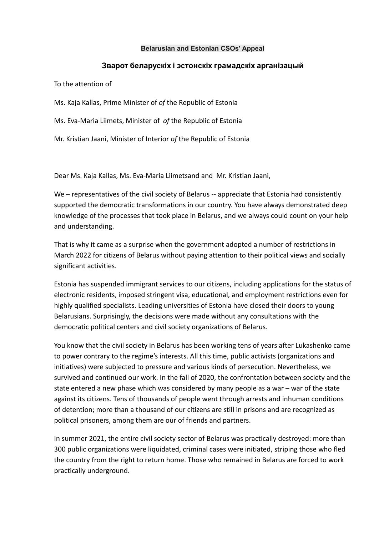#### **Belarusian and Estonian CSOs' Appeal**

# **Зварот беларускіх і эстонскіх грамадскіх арганізацый**

To the attention of

Ms. Kaja Kallas, Prime Minister of *of* the Republic of Estonia

Ms. Eva-Maria Liimets, Minister of *of* the Republic of Estonia

Mr. Kristian Jaani, Minister of Interior *of* the Republic of Estonia

Dear Ms. Kaja Kallas, Ms. Eva-Maria Liimetsand and Mr. Kristian Jaani,

We – representatives of the civil society of Belarus -- appreciate that Estonia had consistently supported the democratic transformations in our country. You have always demonstrated deep knowledge of the processes that took place in Belarus, and we always could count on your help and understanding.

That is why it came as a surprise when the government adopted a number of restrictions in March 2022 for citizens of Belarus without paying attention to their political views and socially significant activities.

Estonia has suspended immigrant services to our citizens, including applications for the status of electronic residents, imposed stringent visa, educational, and employment restrictions even for highly qualified specialists. Leading universities of Estonia have closed their doors to young Belarusians. Surprisingly, the decisions were made without any consultations with the democratic political centers and civil society organizations of Belarus.

You know that the civil society in Belarus has been working tens of years after Lukashenko came to power contrary to the regime's interests. All this time, public activists (organizations and initiatives) were subjected to pressure and various kinds of persecution. Nevertheless, we survived and continued our work. In the fall of 2020, the confrontation between society and the state entered a new phase which was considered by many people as a war – war of the state against its citizens. Tens of thousands of people went through arrests and inhuman conditions of detention; more than a thousand of our citizens are still in prisons and are recognized as political prisoners, among them are our of friends and partners.

In summer 2021, the entire civil society sector of Belarus was practically destroyed: more than 300 public organizations were liquidated, criminal cases were initiated, striping those who fled the country from the right to return home. Those who remained in Belarus are forced to work practically underground.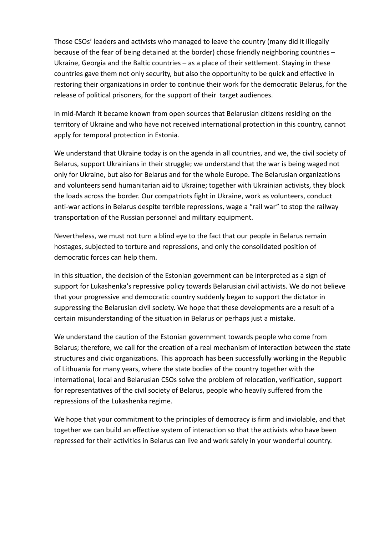Those CSOs' leaders and activists who managed to leave the country (many did it illegally because of the fear of being detained at the border) chose friendly neighboring countries – Ukraine, Georgia and the Baltic countries – as a place of their settlement. Staying in these countries gave them not only security, but also the opportunity to be quick and effective in restoring their organizations in order to continue their work for the democratic Belarus, for the release of political prisoners, for the support of their target audiences.

In mid-March it became known from open sources that Belarusian citizens residing on the territory of Ukraine and who have not received international protection in this country, cannot apply for temporal protection in Estonia.

We understand that Ukraine today is on the agenda in all countries, and we, the civil society of Belarus, support Ukrainians in their struggle; we understand that the war is being waged not only for Ukraine, but also for Belarus and for the whole Europe. The Belarusian organizations and volunteers send humanitarian aid to Ukraine; together with Ukrainian activists, they block the loads across the border. Our compatriots fight in Ukraine, work as volunteers, conduct anti-war actions in Belarus despite terrible repressions, wage a "rail war" to stop the railway transportation of the Russian personnel and military equipment.

Nevertheless, we must not turn a blind eye to the fact that our people in Belarus remain hostages, subjected to torture and repressions, and only the consolidated position of democratic forces can help them.

In this situation, the decision of the Estonian government can be interpreted as a sign of support for Lukashenka's repressive policy towards Belarusian civil activists. We do not believe that your progressive and democratic country suddenly began to support the dictator in suppressing the Belarusian civil society. We hope that these developments are a result of a certain misunderstanding of the situation in Belarus or perhaps just a mistake.

We understand the caution of the Estonian government towards people who come from Belarus; therefore, we call for the creation of a real mechanism of interaction between the state structures and civic organizations. This approach has been successfully working in the Republic of Lithuania for many years, where the state bodies of the country together with the international, local and Belarusian CSOs solve the problem of relocation, verification, support for representatives of the civil society of Belarus, people who heavily suffered from the repressions of the Lukashenka regime.

We hope that your commitment to the principles of democracy is firm and inviolable, and that together we can build an effective system of interaction so that the activists who have been repressed for their activities in Belarus can live and work safely in your wonderful country.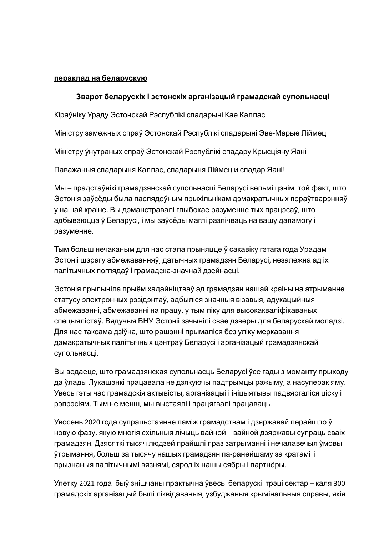#### **пераклад на беларускую**

### **Зварот беларускіх і эстонскіх арганізацый грамадскай супольнасці**

Кіраўніку Ураду Эстонскай Рэспублікі спадарыні Кае Каллас

Міністру замежных спраў Эстонскай Рэспублікі спадарыні Эве-Марые Ліймец

Міністру ўнутраных спраў Эстонскай Рэспублікі спадару Крысціяну Яані

Паважаныя спадарыня Каллас, спадарыня Ліймец и спадар Яані!

Мы – прадстаўнікі грамадзянскай супольнасці Беларусі вельмі цэнім той факт, што Эстонія заўсёды была паслядоўным прыхільнікам дэмакратычных пераўтварэнняў у нашай краіне. Вы дэманстравалі глыбокае разуменне тых працэсаў, што адбываюцца ў Беларусі, і мы заўсёды маглі разлічваць на вашу дапамогу і разуменне.

Тым больш нечаканым для нас стала прыняцце ў сакавіку гэтага года Урадам Эстоніі шэрагу абмежаванняў, датычных грамадзян Беларусі, незалежна ад іх палітычных поглядаў і грамадска-значнай дзейнасці.

Эстонія прыпыніла прыём хадайніцтваў ад грамадзян нашай краіны на атрыманне статусу электронных рэзідэнтаў, адбыліся значныя візавыя, адукацыйныя абмежаванні, абмежаванні на працу, у тым ліку для высокакваліфікаваных спецыялістаў. Вядучыя ВНУ Эстоніі зачынілі свае дзверы для беларускай моладзі. Для нас таксама дзіўна, што рашэнні прымаліся без уліку меркавання дэмакратычных палітычных цэнтраў Беларусі і арганізацый грамадзянскай супольнасці.

Вы ведаеце, што грамадзянская супольнасць Беларусі ўсе гады з моманту прыходу да ўлады Лукашэнкі працавала не дзякуючы падтрымцы рэжыму, а насуперак яму. Увесь гэты час грамадскія актывісты, арганізацыі і ініцыятывы падвяргаліся ціску і рэпрэсіям. Тым не менш, мы выстаялі і працягвалі працаваць.

Увосень 2020 года супрацьстаянне паміж грамадствам і дзяржавай перайшло ў новую фазу, якую многія схільныя лічыць вайной – вайной дзяржавы супраць сваіх грамадзян. Дзясяткі тысяч людзей прайшлі праз затрыманні і нечалавечыя ўмовы ўтрымання, больш за тысячу нашых грамадзян па-ранейшаму за кратамі і прызнаныя палітычнымі вязнямі, сярод іх нашы сябры і партнёры.

Улетку 2021 года быў знішчаны практычна ўвесь беларускі трэці сектар – каля 300 грамадскіх арганізацый былі ліквідаваныя, узбуджаныя крымінальныя справы, якія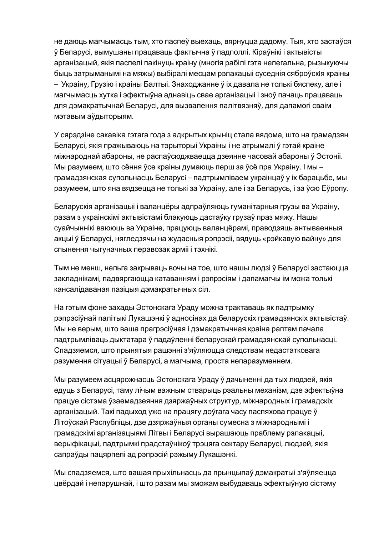не даюць магчымасць тым, хто паспеў выехаць, вярнуцца дадому. Тыя, хто застаўся ў Беларусі, вымушаны працаваць фактычна ў падполлі. Кіраўнікі і актывісты арганізацый, якія паспелі пакінуць краіну (многія рабілі гэта нелегальна, рызыкуючы быць затрыманымі на мяжы) выбіралі месцам рэлакацыі суседнія сяброўскiя краіны – Украіну, Грузію і краіны Балтыі. Знаходжанне ў іх давала не толькі бяспеку, але і магчымасць хутка і эфектыўна аднавіць свае арганізацыі і зноў пачаць працаваць для дэмакратычнай Беларусі, для вызвалення палітвязняў, для дапамогі сваім мэтавым аўдыторыям.

У сярэдзіне сакавіка гэтага года з адкрытых крыніц стала вядома, што на грамадзян Беларусі, якія пражываюць на тэрыторыі Украіны і не атрымалі ў гэтай краіне міжнароднай абароны, не распаўсюджваецца дзеянне часовай абароны ў Эстоніі. Мы разумеем, што сёння ўсе краіны думаюць перш за ўсё пра Украіну. І мы – грамадзянская супольнасць Беларусi – падтрымліваем украінцаў у іх барацьбе, мы разумеем, што яна вядзецца не толькі за Украіну, але і за Беларусь, і за ўсю Еўропу.

Беларускія арганізацыі і валанцёры адпраўляюць гуманітарныя грузы ва Украіну, разам з украінскімі актывістамі блакуюць дастаўку грузаў праз мяжу. Нашы суайчыннікі ваююць ва Украіне, працуюць валанцёрамі, праводзяць антываенныя акцыі ў Беларусі, нягледзячы на жудасныя рэпрэсіі, вядуць «рэйкавую вайну» для спынення чыгуначных перавозак арміі і тэхнікі.

Тым не менш, нельга закрываць вочы на тое, што нашы людзі ў Беларусі застаюцца закладнікамі, падвяргаюцца катаванням і рэпрэсіям і дапамагчы ім можа толькі кансалідаваная пазіцыя дэмакратычных сіл.

На гэтым фоне захады Эстонскага Ураду можна трактаваць як падтрымку рэпрэсіўнай палітыкі Лукашэнкі ў адносінах да беларускіх грамадзянскіх актывістаў. Мы не верым, што ваша прагрэсіўная і дэмакратычная краіна раптам пачала падтрымліваць дыктатара ў падаўленні беларускай грамадзянскай супольнасці. Спадзяемся, што прынятыя рашэнні з'яўляюцца следствам недастатковага разумення сітуацыі ў Беларусі, а магчыма, проста непаразуменнем.

Мы разумеем асцярожнасць Эстонскага Ураду ў дачыненні да тых людзей, якія едуць з Беларусі, таму лічым важным стварыць рэальны механізм, дзе эфектыўна працуе сістэма ўзаемадзеяння дзяржаўных структур, міжнародных і грамадскіх арганізацый. Такі падыход ужо на працягу доўгага часу паспяхова працуе ў Літоўскай Рэспубліцы, дзе дзяржаўныя органы сумесна з міжнароднымі і грамадскімі арганізацыямі Літвы і Беларусі вырашаюць праблему рэлакацыі, верыфікацыі, падтрымкі прадстаўнікоў трэцяга сектару Беларусі, людзей, якія сапраўды пацярпелі ад рэпрэсій рэжыму Лукашэнкі.

Мы спадзяемся, што вашая прыхільнасць да прынцыпаў дэмакратыі з'яўляецца цвёрдай і непарушнай, і што разам мы зможам выбудаваць эфектыўную сістэму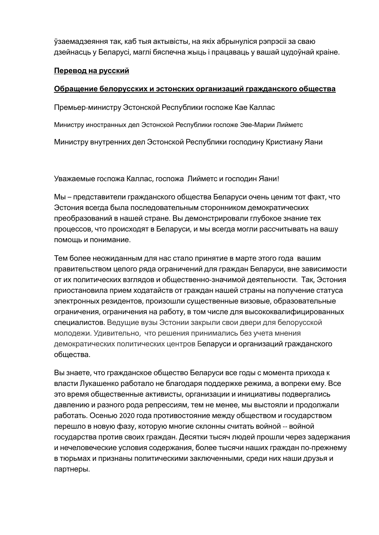ўзаемадзеяння так, каб тыя актывісты, на якіх абрынуліся рэпрэсіі за сваю дзейнасць у Беларусі, маглі бяспечна жыць і працаваць у вашай цудоўнай краіне.

## **Перевод на русский**

### **Обращение белорусских и эстонских организаций гражданского общества**

Премьер-министру Эстонской Республики госпоже Кае Каллас

Министру иностранных дел Эстонской Республики госпоже Эве-Марии Лийметс

Министру внутренних дел Эстонской Республики господину Кристиану Яани

Уважаемые гоcпожа Каллас, госпожа Лийметс и господин Яани!

Мы – представители гражданского общества Беларуси очень ценим тот факт, что Эстония всегда была последовательным сторонником демократических преобразований в нашей стране. Вы демонстрировали глубокое знание тех процессов, что происходят в Беларуси, и мы всегда могли рассчитывать на вашу помощь и понимание.

Тем более неожиданным для нас стало принятие в марте этого года вашим правительством целого ряда ограничений для граждан Беларуси, вне зависимости от их политических взглядов и общественно-значимой деятельности. Так, Эстония приостановила прием ходатайств от граждан нашей страны на получение статуса электронных резидентов, произошли существенные визовые, образовательные ограничения, ограничения на работу, в том числе для высококвалифицированных специалистов. Ведущие вузы Эстонии закрыли свои двери для белорусской молодежи. Удивительно, что решения принимались без учета мнения демократических политических центров Беларуси и организаций гражданского общества.

Вы знаете, что гражданское общество Беларуси все годы с момента прихода к власти Лукашенко работало не благодаря поддержке режима, а вопреки ему. Все это время общественные активисты, организации и инициативы подвергались давлению и разного рода репрессиям, тем не менее, мы выстояли и продолжали работать. Осенью 2020 года противостояние между обществом и государством перешло в новую фазу, которую многие склонны считать войной -- войной государства против своих граждан. Десятки тысяч людей прошли через задержания и нечеловеческие условия содержания, более тысячи наших граждан по-прежнему в тюрьмах и признаны политическими заключенными, среди них наши друзья и партнеры.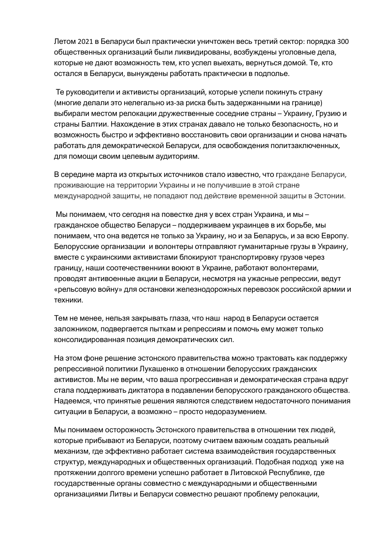Летом 2021 в Беларуси был практически уничтожен весь третий сектор: порядка 300 общественных организаций были ликвидированы, возбуждены уголовные дела, которые не дают возможность тем, кто успел выехать, вернуться домой. Те, кто остался в Беларуси, вынуждены работать практически в подполье.

Те руководители и активисты организаций, которые успели покинуть страну (многие делали это нелегально из-за риска быть задержанными на границе) выбирали местом релокации дружественные соседние страны – Украину, Грузию и страны Балтии. Нахождение в этих странах давало не только безопасность, но и возможность быстро и эффективно восстановить свои организации и снова начать работать для демократической Беларуси, для освобождения политзаключенных, для помощи своим целевым аудиториям.

В середине марта из открытых источников стало известно, что граждане Беларуси, проживающие на территории Украины и не получившие в этой стране международной защиты, не попадают под действие временной защиты в Эстонии.

Мы понимаем, что сегодня на повестке дня у всех стран Украина, и мы – гражданское общество Беларуси – поддерживаем украинцев в их борьбе, мы понимаем, что она ведется не только за Украину, но и за Беларусь, и за всю Европу. Белорусские организации и волонтеры отправляют гуманитарные грузы в Украину, вместе с украинскими активистами блокируют транспортировку грузов через границу, наши соотечественники воюют в Украине, работают волонтерами, проводят антивоенные акции в Беларуси, несмотря на ужасные репрессии, ведут «рельсовую войну» для остановки железнодорожных перевозок российской армии и техники.

Тем не менее, нельзя закрывать глаза, что наш народ в Беларуси остается заложником, подвергается пыткам и репрессиям и помочь ему может только консолидированная позиция демократических сил.

На этом фоне решение эстонского правительства можно трактовать как поддержку репрессивной политики Лукашенко в отношении белорусских гражданских активистов. Мы не верим, что ваша прогрессивная и демократическая страна вдруг стала поддерживать диктатора в подавлении белорусского гражданского общества. Надеемся, что принятые решения являются следствием недостаточного понимания ситуации в Беларуси, а возможно – просто недоразумением.

Мы понимаем осторожность Эстонского правительства в отношении тех людей, которые прибывают из Беларуси, поэтому считаем важным создать реальный механизм, где эффективно работает система взаимодействия государственных структур, международных и общественных организаций. Подобная подход уже на протяжении долгого времени успешно работает в Литовской Республике, где государственные органы совместно с международными и общественными организациями Литвы и Беларуси совместно решают проблему релокации,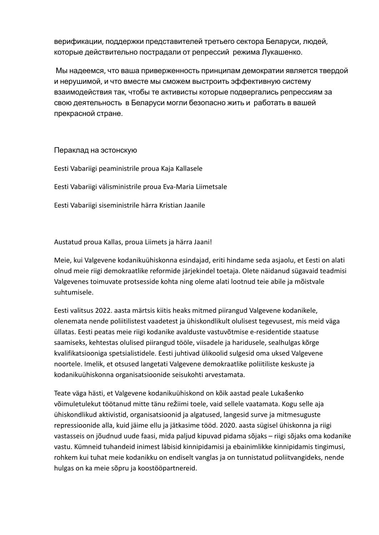верификации, поддержки представителей третьего сектора Беларуси, людей, которые действительно пострадали от репрессий режима Лукашенко.

Мы надеемся, что ваша приверженность принципам демократии является твердой и нерушимой, и что вместе мы сможем выстроить эффективную систему взаимодействия так, чтобы те активисты которые подвергались репрессиям за свою деятельность в Беларуси могли безопасно жить и работать в вашей прекрасной стране.

#### Пераклад на эстонскую

Eesti Vabariigi peaministrile proua Kaja Kallasele Eesti Vabariigi välisministrile proua Eva-Maria Liimetsale Eesti Vabariigi siseministrile härra Kristian Jaanile

Austatud proua Kallas, proua Liimets ja härra Jaani!

Meie, kui Valgevene kodanikuühiskonna esindajad, eriti hindame seda asjaolu, et Eesti on alati olnud meie riigi demokraatlike reformide järjekindel toetaja. Olete näidanud sügavaid teadmisi Valgevenes toimuvate protsesside kohta ning oleme alati lootnud teie abile ja mõistvale suhtumisele.

Eesti valitsus 2022. aasta märtsis kiitis heaks mitmed piirangud Valgevene kodanikele, olenemata nende poliitilistest vaadetest ja ühiskondlikult olulisest tegevusest, mis meid väga üllatas. Eesti peatas meie riigi kodanike avalduste vastuvõtmise e-residentide staatuse saamiseks, kehtestas olulised piirangud tööle, viisadele ja haridusele, sealhulgas kõrge kvalifikatsiooniga spetsialistidele. Eesti juhtivad ülikoolid sulgesid oma uksed Valgevene noortele. Imelik, et otsused langetati Valgevene demokraatlike poliitiliste keskuste ja kodanikuühiskonna organisatsioonide seisukohti arvestamata.

Teate väga hästi, et Valgevene kodanikuühiskond on kõik aastad peale Lukašenko võimuletulekut töötanud mitte tänu režiimi toele, vaid sellele vaatamata. Kogu selle aja ühiskondlikud aktivistid, organisatsioonid ja algatused, langesid surve ja mitmesuguste repressioonide alla, kuid jäime ellu ja jätkasime tööd. 2020. aasta sügisel ühiskonna ja riigi vastasseis on jõudnud uude faasi, mida paljud kipuvad pidama sõjaks – riigi sõjaks oma kodanike vastu. Kümneid tuhandeid inimest läbisid kinnipidamisi ja ebainimlikke kinnipidamis tingimusi, rohkem kui tuhat meie kodanikku on endiselt vanglas ja on tunnistatud poliitvangideks, nende hulgas on ka meie sõpru ja koostööpartnereid.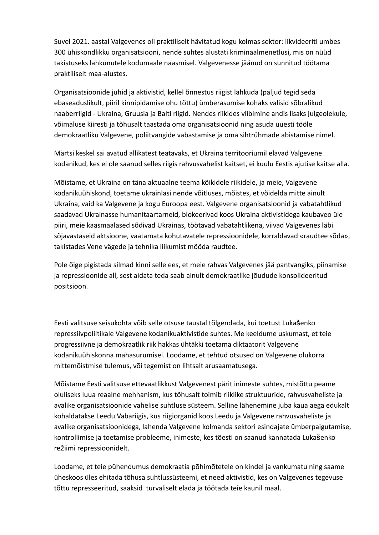Suvel 2021. aastal Valgevenes oli praktiliselt hävitatud kogu kolmas sektor: likvideeriti umbes 300 ühiskondlikku organisatsiooni, nende suhtes alustati kriminaalmenetlusi, mis on nüüd takistuseks lahkunutele kodumaale naasmisel. Valgevenesse jäänud on sunnitud töötama praktiliselt maa-alustes.

Organisatsioonide juhid ja aktivistid, kellel õnnestus riigist lahkuda (paljud tegid seda ebaseaduslikult, piiril kinnipidamise ohu tõttu) ümberasumise kohaks valisid sõbralikud naaberriigid - Ukraina, Gruusia ja Balti riigid. Nendes riikides viibimine andis lisaks julgeolekule, võimaluse kiiresti ja tõhusalt taastada oma organisatsioonid ning asuda uuesti tööle demokraatliku Valgevene, poliitvangide vabastamise ja oma sihtrühmade abistamise nimel.

Märtsi keskel sai avatud allikatest teatavaks, et Ukraina territooriumil elavad Valgevene kodanikud, kes ei ole saanud selles riigis rahvusvahelist kaitset, ei kuulu Eestis ajutise kaitse alla.

Mõistame, et Ukraina on täna aktuaalne teema kõikidele riikidele, ja meie, Valgevene kodanikuühiskond, toetame ukrainlasi nende võitluses, mõistes, et võidelda mitte ainult Ukraina, vaid ka Valgevene ja kogu Euroopa eest. Valgevene organisatsioonid ja vabatahtlikud saadavad Ukrainasse humanitaartarneid, blokeerivad koos Ukraina aktivistidega kaubaveo üle piiri, meie kaasmaalased sõdivad Ukrainas, töötavad vabatahtlikena, viivad Valgevenes läbi sõjavastaseid aktsioone, vaatamata kohutavatele repressioonidele, korraldavad «raudtee sõda», takistades Vene vägede ja tehnika liikumist mööda raudtee.

Pole õige pigistada silmad kinni selle ees, et meie rahvas Valgevenes jää pantvangiks, piinamise ja repressioonide all, sest aidata teda saab ainult demokraatlike jõudude konsolideeritud positsioon.

Eesti valitsuse seisukohta võib selle otsuse taustal tõlgendada, kui toetust Lukašenko repressiivpoliitikale Valgevene kodanikuaktivistide suhtes. Me keeldume uskumast, et teie progressiivne ja demokraatlik riik hakkas ühtäkki toetama diktaatorit Valgevene kodanikuühiskonna mahasurumisel. Loodame, et tehtud otsused on Valgevene olukorra mittemõistmise tulemus, või tegemist on lihtsalt arusaamatusega.

Mõistame Eesti valitsuse ettevaatlikkust Valgevenest pärit inimeste suhtes, mistõttu peame oluliseks luua reaalne mehhanism, kus tõhusalt toimib riiklike struktuuride, rahvusvaheliste ja avalike organisatsioonide vahelise suhtluse süsteem. Selline lähenemine juba kaua aega edukalt kohaldatakse Leedu Vabariigis, kus riigiorganid koos Leedu ja Valgevene rahvusvaheliste ja avalike organisatsioonidega, lahenda Valgevene kolmanda sektori esindajate ümberpaigutamise, kontrollimise ja toetamise probleeme, inimeste, kes tõesti on saanud kannatada Lukašenko režiimi repressioonidelt.

Loodame, et teie pühendumus demokraatia põhimõtetele on kindel ja vankumatu ning saame üheskoos üles ehitada tõhusa suhtlussüsteemi, et need aktivistid, kes on Valgevenes tegevuse tõttu represseeritud, saaksid turvaliselt elada ja töötada teie kaunil maal.